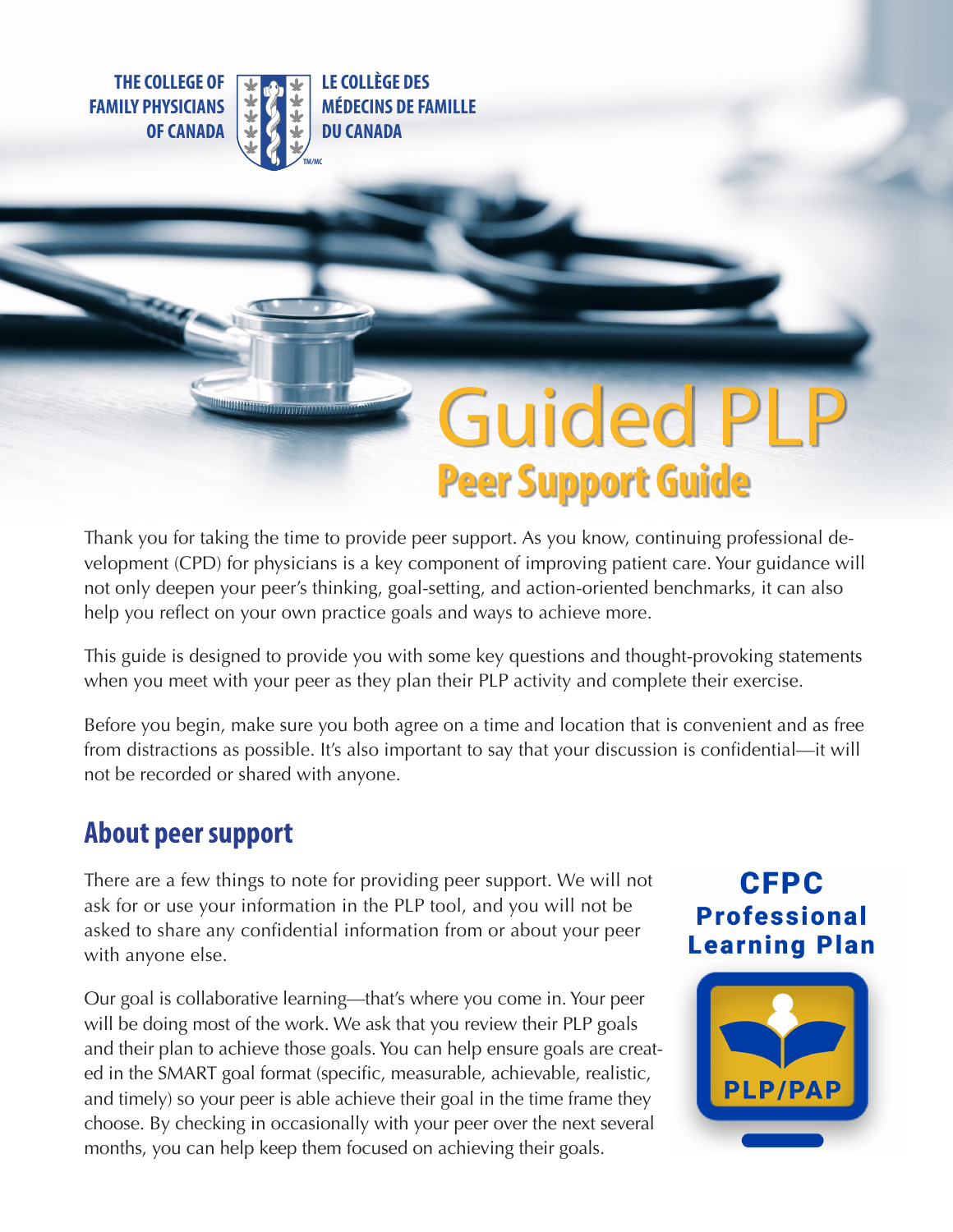**THE COLLEGE OF FAMILY PHYSICIANS OF CANADA**



**LE COLLÈGE DES MÉDECINS DE FAMILLE DU CANADA**

# **Guided PLI Peer Support Guide**

Thank you for taking the time to provide peer support. As you know, continuing professional development (CPD) for physicians is a key component of improving patient care. Your guidance will not only deepen your peer's thinking, goal-setting, and action-oriented benchmarks, it can also help you reflect on your own practice goals and ways to achieve more.

This guide is designed to provide you with some key questions and thought-provoking statements when you meet with your peer as they plan their PLP activity and complete their exercise.

Before you begin, make sure you both agree on a time and location that is convenient and as free from distractions as possible. It's also important to say that your discussion is confidential—it will not be recorded or shared with anyone.

#### **About peer support**

There are a few things to note for providing peer support. We will not ask for or use your information in the PLP tool, and you will not be asked to share any confidential information from or about your peer with anyone else.

Our goal is collaborative learning—that's where you come in. Your peer will be doing most of the work. We ask that you review their PLP goals and their plan to achieve those goals. You can help ensure goals are created in the SMART goal format (specific, measurable, achievable, realistic, and timely) so your peer is able achieve their goal in the time frame they choose. By checking in occasionally with your peer over the next several months, you can help keep them focused on achieving their goals.

### **CFPC Professional Learning Plan**